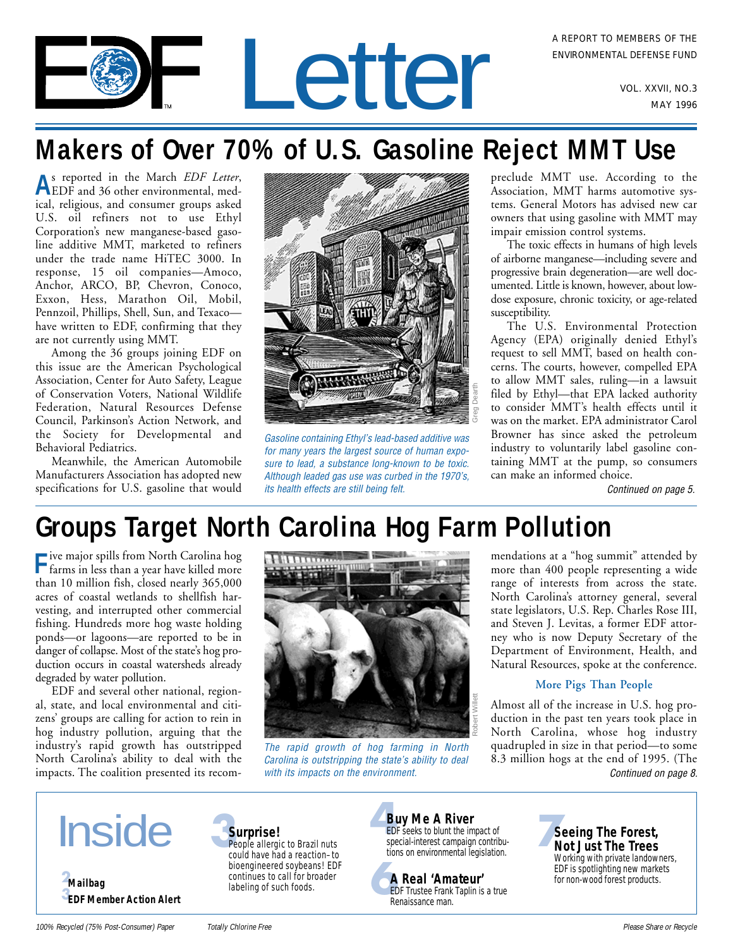# A REPORT TO MEMBERS OF THE<br>ENVIRONMENTAL DEFENSE FUND<br>VOL. XXVII, NO.3

# **Makers of Over 70% of U.S. Gasoline Reject MMT Use**

**A**s reported in the March *EDF Letter*, EDF and 36 other environmental, medical, religious, and consumer groups asked U.S. oil refiners not to use Ethyl Corporation's new manganese-based gasoline additive MMT, marketed to refiners under the trade name HiTEC 3000. In response, 15 oil companies—Amoco, Anchor, ARCO, BP, Chevron, Conoco, Exxon, Hess, Marathon Oil, Mobil, Pennzoil, Phillips, Shell, Sun, and Texaco have written to EDF, confirming that they are not currently using MMT.

Among the 36 groups joining EDF on this issue are the American Psychological Association, Center for Auto Safety, League of Conservation Voters, National Wildlife Federation, Natural Resources Defense Council, Parkinson's Action Network, and the Society for Developmental and Behavioral Pediatrics.

Meanwhile, the American Automobile Manufacturers Association has adopted new specifications for U.S. gasoline that would



Gasoline containing Ethyl's lead-based additive was for many years the largest source of human exposure to lead, a substance long-known to be toxic. Although leaded gas use was curbed in the 1970's, its health effects are still being felt.

preclude MMT use. According to the Association, MMT harms automotive systems. General Motors has advised new car owners that using gasoline with MMT may impair emission control systems.

The toxic effects in humans of high levels of airborne manganese—including severe and progressive brain degeneration—are well documented. Little is known, however, about lowdose exposure, chronic toxicity, or age-related susceptibility.

The U.S. Environmental Protection Agency (EPA) originally denied Ethyl's request to sell MMT, based on health concerns. The courts, however, compelled EPA to allow MMT sales, ruling—in a lawsuit filed by Ethyl—that EPA lacked authority to consider MMT's health effects until it was on the market. EPA administrator Carol Browner has since asked the petroleum industry to voluntarily label gasoline containing MMT at the pump, so consumers can make an informed choice.

[Continued on page 5.](#page-4-0)

# **Groups Target North Carolina Hog Farm Pollution**

**F**ive major spills from North Carolina hog farms in less than a year have killed more than 10 million fish, closed nearly 365,000 acres of coastal wetlands to shellfish harvesting, and interrupted other commercial fishing. Hundreds more hog waste holding ponds—or lagoons—are reported to be in danger of collapse. Most of the state's hog production occurs in coastal watersheds already degraded by water pollution.

EDF and several other national, regional, state, and local environmental and citizens' groups are calling for action to rein in hog industry pollution, arguing that the industry's rapid growth has outstripped North Carolina's ability to deal with the impacts. The coalition presented its recom-



The rapid growth of hog farming in North Carolina is outstripping the state's ability to deal with its impacts on the environment. The continued on page 8.

mendations at a "hog summit" attended by more than 400 people representing a wide range of interests from across the state. North Carolina's attorney general, several state legislators, U.S. Rep. Charles Rose III, and Steven J. Levitas, a former EDF attorney who is now Deputy Secretary of the Department of Environment, Health, and Natural Resources, spoke at the conference.

### **More Pigs Than People**

Almost all of the increase in U.S. hog production in the past ten years took place in North Carolina, whose hog industry quadrupled in size in that period—to some 8.3 million hogs at the end of 1995. (The





People allergic to Brazil nuts could have had a reaction–to bioengineered soybeans! EDF continues to call for broader labeling of such foods.



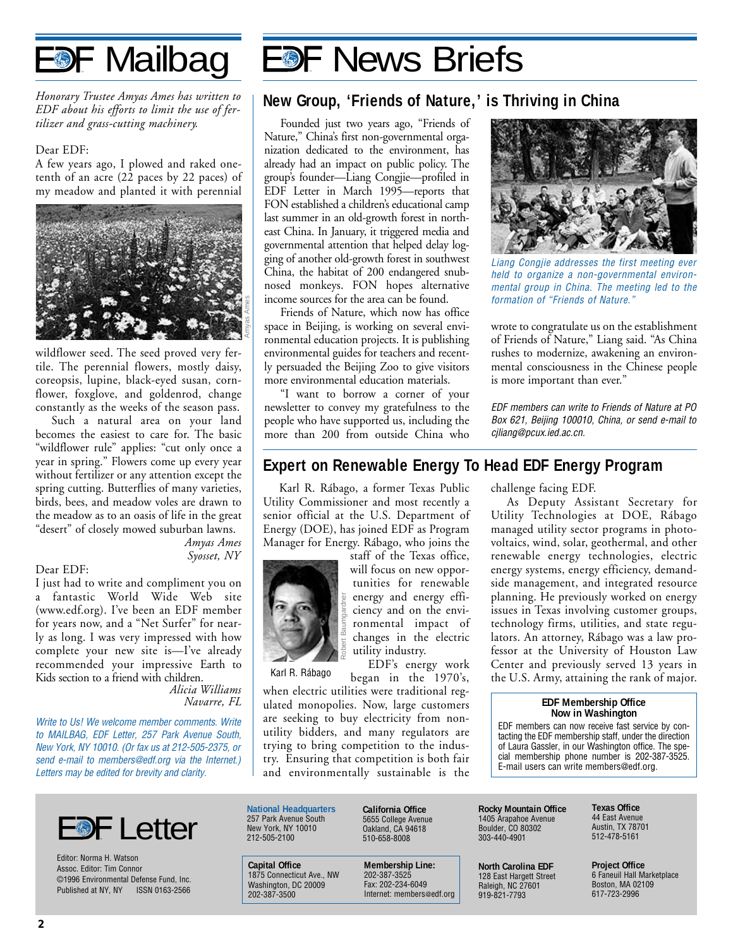<span id="page-1-0"></span>

*Honorary Trustee Amyas Ames has written to EDF about his efforts to limit the use of fertilizer and grass-cutting machinery.*

#### Dear EDF:

A few years ago, I plowed and raked onetenth of an acre (22 paces by 22 paces) of my meadow and planted it with perennial



wildflower seed. The seed proved very fertile. The perennial flowers, mostly daisy, coreopsis, lupine, black-eyed susan, cornflower, foxglove, and goldenrod, change constantly as the weeks of the season pass.

Such a natural area on your land becomes the easiest to care for. The basic "wildflower rule" applies: "cut only once a year in spring." Flowers come up every year without fertilizer or any attention except the spring cutting. Butterflies of many varieties, birds, bees, and meadow voles are drawn to the meadow as to an oasis of life in the great "desert" of closely mowed suburban lawns.

> *Amyas Ames Syosset, NY*

#### Dear EDF:

I just had to write and compliment you on a fantastic World Wide Web site (www.edf.org). I've been an EDF member for years now, and a "Net Surfer" for nearly as long. I was very impressed with how complete your new site is—I've already recommended your impressive Earth to Kids section to a friend with children.

> *Alicia Williams Navarre, FL*

Write to Us! We welcome member comments. Write to MAILBAG, EDF Letter, 257 Park Avenue South, New York, NY 10010. (Or fax us at 212-505-2375, or send e-mail to members@edf.org via the Internet.) Letters may be edited for brevity and clarity.



Editor: Norma H. Watson Assoc. Editor: Tim Connor ©1996 Environmental Defense Fund, Inc. Published at NY, NY ISSN 0163-2566

# **EDF News Briefs**

### **New Group, 'Friends of Nature,' is Thriving in China**

Founded just two years ago, "Friends of Nature," China's first non-governmental organization dedicated to the environment, has already had an impact on public policy. The group's founder—Liang Congjie—profiled in EDF Letter in March 1995—reports that FON established a children's educational camp last summer in an old-growth forest in northeast China. In January, it triggered media and governmental attention that helped delay logging of another old-growth forest in southwest China, the habitat of 200 endangered snubnosed monkeys. FON hopes alternative income sources for the area can be found.

Friends of Nature, which now has office space in Beijing, is working on several environmental education projects. It is publishing environmental guides for teachers and recently persuaded the Beijing Zoo to give visitors more environmental education materials.

"I want to borrow a corner of your newsletter to convey my gratefulness to the people who have supported us, including the more than 200 from outside China who



Liang Congjie addresses the first meeting ever held to organize a non-governmental environmental group in China. The meeting led to the formation of "Friends of Nature."

wrote to congratulate us on the establishment of Friends of Nature," Liang said. "As China rushes to modernize, awakening an environmental consciousness in the Chinese people is more important than ever."

EDF members can write to Friends of Nature at PO Box 621, Beijing 100010, China, or send e-mail to cjliang@pcux.ied.ac.cn.

### **Expert on Renewable Energy To Head EDF Energy Program**

Karl R. Rábago, a former Texas Public Utility Commissioner and most recently a senior official at the U.S. Department of Energy (DOE), has joined EDF as Program Manager for Energy. Rábago, who joins the



**National Headquarters** 257 Park Avenue South New York, NY 10010 212-505-2100

staff of the Texas office, will focus on new opportunities for renewable energy and energy efficiency and on the environmental impact of changes in the electric utility industry. EDF's energy work

began in the 1970's,

when electric utilities were traditional regulated monopolies. Now, large customers are seeking to buy electricity from nonutility bidders, and many regulators are trying to bring competition to the industry. Ensuring that competition is both fair and environmentally sustainable is the challenge facing EDF.

As Deputy Assistant Secretary for Utility Technologies at DOE, Rábago managed utility sector programs in photovoltaics, wind, solar, geothermal, and other renewable energy technologies, electric energy systems, energy efficiency, demandside management, and integrated resource planning. He previously worked on energy issues in Texas involving customer groups, technology firms, utilities, and state regulators. An attorney, Rábago was a law professor at the University of Houston Law Center and previously served 13 years in Karl R. Rábago began in the 1970's, the U.S. Army, attaining the rank of major.

#### **EDF Membership Office Now in Washington**

EDF members can now receive fast service by contacting the EDF membership staff, under the direction of Laura Gassler, in our Washington office. The special membership phone number is 202-387-3525. E-mail users can write members@edf.org.

**California Office** 5655 College Avenue Oakland, CA 94618 510-658-8008

**Capital Office** 1875 Connecticut Ave., NW Washington, DC 20009 202-387-3500

**Membership Line:** 202-387-3525 Fax: 202-234-6049 Internet: members@edf.org **Rocky Mountain Office** 1405 Arapahoe Avenue Boulder, CO 80302 303-440-4901

**North Carolina EDF** 128 East Hargett Street Raleigh, NC 27601 919-821-7793

**Texas Office** 44 East Avenue Austin, TX 78701 512-478-5161

**Project Office** 6 Faneuil Hall Marketplace Boston, MA 02109 617-723-2996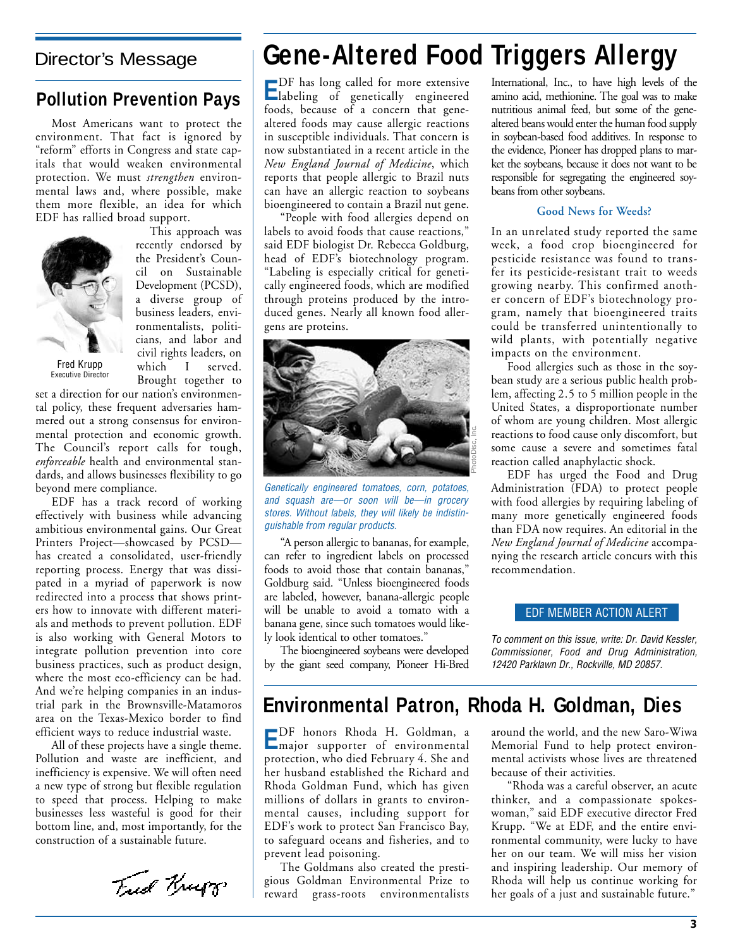### **Pollution Prevention Pays**

Most Americans want to protect the environment. That fact is ignored by "reform" efforts in Congress and state capitals that would weaken environmental protection. We must *strengthen* environmental laws and, where possible, make them more flexible, an idea for which EDF has rallied broad support.



This approach was recently endorsed by the President's Council on Sustainable Development (PCSD), a diverse group of business leaders, environmentalists, politicians, and labor and civil rights leaders, on which I served. Brought together to

set a direction for our nation's environmental policy, these frequent adversaries hammered out a strong consensus for environmental protection and economic growth. The Council's report calls for tough, *enforceable* health and environmental standards, and allows businesses flexibility to go beyond mere compliance.

EDF has a track record of working effectively with business while advancing ambitious environmental gains. Our Great Printers Project—showcased by PCSD has created a consolidated, user-friendly reporting process. Energy that was dissipated in a myriad of paperwork is now redirected into a process that shows printers how to innovate with different materials and methods to prevent pollution. EDF is also working with General Motors to integrate pollution prevention into core business practices, such as product design, where the most eco-efficiency can be had. And we're helping companies in an industrial park in the Brownsville-Matamoros area on the Texas-Mexico border to find efficient ways to reduce industrial waste.

All of these projects have a single theme. Pollution and waste are inefficient, and inefficiency is expensive. We will often need a new type of strong but flexible regulation to speed that process. Helping to make businesses less wasteful is good for their bottom line, and, most importantly, for the construction of a sustainable future.

Fred Krupp

### <span id="page-2-0"></span>Director's Message **Gene-Altered Food Triggers Allergy**

**E**DF has long called for more extensive labeling of genetically engineered foods, because of a concern that genealtered foods may cause allergic reactions in susceptible individuals. That concern is now substantiated in a recent article in the *New England Journal of Medicine*, which reports that people allergic to Brazil nuts can have an allergic reaction to soybeans bioengineered to contain a Brazil nut gene.

"People with food allergies depend on labels to avoid foods that cause reactions," said EDF biologist Dr. Rebecca Goldburg, head of EDF's biotechnology program. "Labeling is especially critical for genetically engineered foods, which are modified through proteins produced by the introduced genes. Nearly all known food allergens are proteins.



Genetically engineered tomatoes, corn, potatoes, and squash are—or soon will be—in grocery stores. Without labels, they will likely be indistinguishable from regular products.

"A person allergic to bananas, for example, can refer to ingredient labels on processed foods to avoid those that contain bananas," Goldburg said. "Unless bioengineered foods are labeled, however, banana-allergic people will be unable to avoid a tomato with a banana gene, since such tomatoes would likely look identical to other tomatoes."

The bioengineered soybeans were developed by the giant seed company, Pioneer Hi-Bred International, Inc., to have high levels of the amino acid, methionine. The goal was to make nutritious animal feed, but some of the genealtered beans would enter the human food supply in soybean-based food additives. In response to the evidence, Pioneer has dropped plans to market the soybeans, because it does not want to be responsible for segregating the engineered soybeans from other soybeans.

### **Good News for Weeds?**

In an unrelated study reported the same week, a food crop bioengineered for pesticide resistance was found to transfer its pesticide-resistant trait to weeds growing nearby. This confirmed another concern of EDF's biotechnology program, namely that bioengineered traits could be transferred unintentionally to wild plants, with potentially negative impacts on the environment.

Food allergies such as those in the soybean study are a serious public health problem, affecting 2.5 to 5 million people in the United States, a disproportionate number of whom are young children. Most allergic reactions to food cause only discomfort, but some cause a severe and sometimes fatal reaction called anaphylactic shock.

EDF has urged the Food and Drug Administration (FDA) to protect people with food allergies by requiring labeling of many more genetically engineered foods than FDA now requires. An editorial in the *New England Journal of Medicine* accompanying the research article concurs with this recommendation.

### EDF MEMBER ACTION ALERT

To comment on this issue, write: Dr. David Kessler, Commissioner, Food and Drug Administration, 12420 Parklawn Dr., Rockville, MD 20857.

### **Environmental Patron, Rhoda H. Goldman, Dies**

**E**DF honors Rhoda H. Goldman, a major supporter of environmental protection, who died February 4. She and her husband established the Richard and Rhoda Goldman Fund, which has given millions of dollars in grants to environmental causes, including support for EDF's work to protect San Francisco Bay, to safeguard oceans and fisheries, and to prevent lead poisoning.

The Goldmans also created the prestigious Goldman Environmental Prize to reward grass-roots environmentalists around the world, and the new Saro-Wiwa Memorial Fund to help protect environmental activists whose lives are threatened because of their activities.

"Rhoda was a careful observer, an acute thinker, and a compassionate spokeswoman," said EDF executive director Fred Krupp. "We at EDF, and the entire environmental community, were lucky to have her on our team. We will miss her vision and inspiring leadership. Our memory of Rhoda will help us continue working for her goals of a just and sustainable future."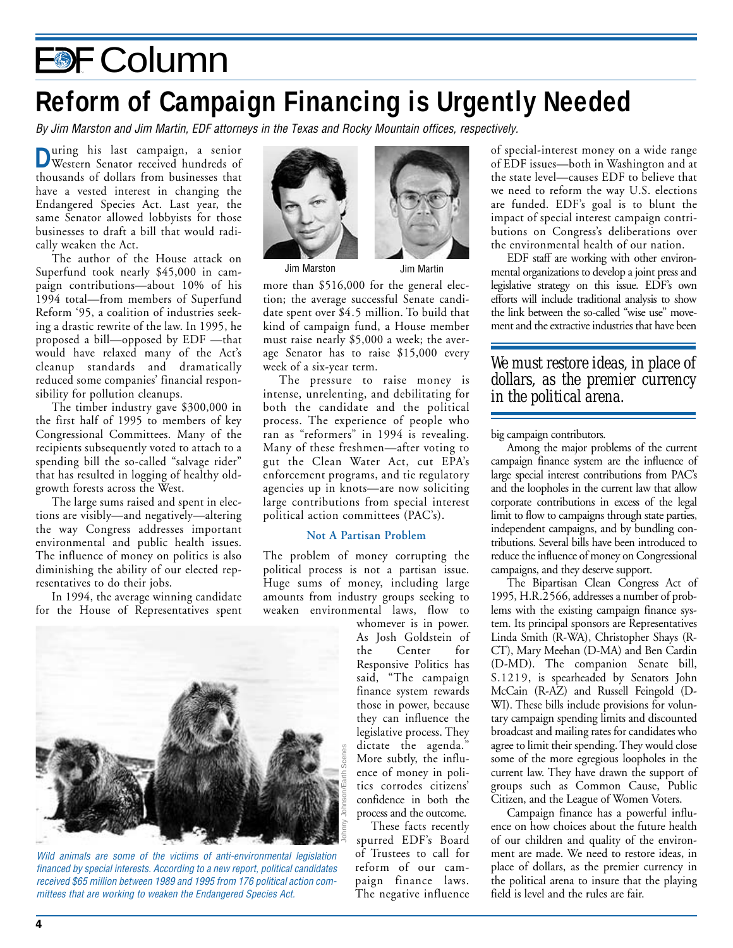# <span id="page-3-0"></span>EDF Column

### **Reform of Campaign Financing is Urgently Needed**

By Jim Marston and Jim Martin, EDF attorneys in the Texas and Rocky Mountain offices, respectively.

**D**uring his last campaign, a senior Western Senator received hundreds of thousands of dollars from businesses that have a vested interest in changing the Endangered Species Act. Last year, the same Senator allowed lobbyists for those businesses to draft a bill that would radically weaken the Act.

The author of the House attack on Superfund took nearly \$45,000 in campaign contributions—about 10% of his 1994 total—from members of Superfund Reform '95, a coalition of industries seeking a drastic rewrite of the law. In 1995, he proposed a bill—opposed by EDF —that would have relaxed many of the Act's cleanup standards and dramatically reduced some companies' financial responsibility for pollution cleanups.

The timber industry gave \$300,000 in the first half of 1995 to members of key Congressional Committees. Many of the recipients subsequently voted to attach to a spending bill the so-called "salvage rider" that has resulted in logging of healthy oldgrowth forests across the West.

The large sums raised and spent in elections are visibly—and negatively—altering the way Congress addresses important environmental and public health issues. The influence of money on politics is also diminishing the ability of our elected representatives to do their jobs.

In 1994, the average winning candidate for the House of Representatives spent



Jim Marston Jim Martin

more than \$516,000 for the general election; the average successful Senate candidate spent over \$4.5 million. To build that kind of campaign fund, a House member must raise nearly \$5,000 a week; the average Senator has to raise \$15,000 every week of a six-year term.

The pressure to raise money is intense, unrelenting, and debilitating for both the candidate and the political process. The experience of people who ran as "reformers" in 1994 is revealing. Many of these freshmen—after voting to gut the Clean Water Act, cut EPA's enforcement programs, and tie regulatory agencies up in knots—are now soliciting large contributions from special interest political action committees (PAC's).

### **Not A Partisan Problem**

The problem of money corrupting the political process is not a partisan issue. Huge sums of money, including large amounts from industry groups seeking to weaken environmental laws, flow to

whomever is in power. As Josh Goldstein of the Center for Responsive Politics has said, "The campaign finance system rewards those in power, because they can influence the legislative process. They dictate the agenda." More subtly, the influence of money in politics corrodes citizens' confidence in both the process and the outcome.

These facts recently spurred EDF's Board of Trustees to call for reform of our campaign finance laws. The negative influence of special-interest money on a wide range of EDF issues—both in Washington and at the state level—causes EDF to believe that we need to reform the way U.S. elections are funded. EDF's goal is to blunt the impact of special interest campaign contributions on Congress's deliberations over the environmental health of our nation.

EDF staff are working with other environmental organizations to develop a joint press and legislative strategy on this issue. EDF's own efforts will include traditional analysis to show the link between the so-called "wise use" movement and the extractive industries that have been

### *We must restore ideas, in place of dollars, as the premier currency in the political arena.*

big campaign contributors.

Among the major problems of the current campaign finance system are the influence of large special interest contributions from PAC's and the loopholes in the current law that allow corporate contributions in excess of the legal limit to flow to campaigns through state parties, independent campaigns, and by bundling contributions. Several bills have been introduced to reduce the influence of money on Congressional campaigns, and they deserve support.

The Bipartisan Clean Congress Act of 1995, H.R.2566, addresses a number of problems with the existing campaign finance system. Its principal sponsors are Representatives Linda Smith (R-WA), Christopher Shays (R-CT), Mary Meehan (D-MA) and Ben Cardin (D-MD). The companion Senate bill, S.1219, is spearheaded by Senators John McCain (R-AZ) and Russell Feingold (D-WI). These bills include provisions for voluntary campaign spending limits and discounted broadcast and mailing rates for candidates who agree to limit their spending. They would close some of the more egregious loopholes in the current law. They have drawn the support of groups such as Common Cause, Public Citizen, and the League of Women Voters.

Campaign finance has a powerful influence on how choices about the future health of our children and quality of the environment are made. We need to restore ideas, in place of dollars, as the premier currency in the political arena to insure that the playing field is level and the rules are fair.



Wild animals are some of the victims of anti-environmental legislation financed by special interests. According to a new report, political candidates received \$65 million between 1989 and 1995 from 176 political action committees that are working to weaken the Endangered Species Act.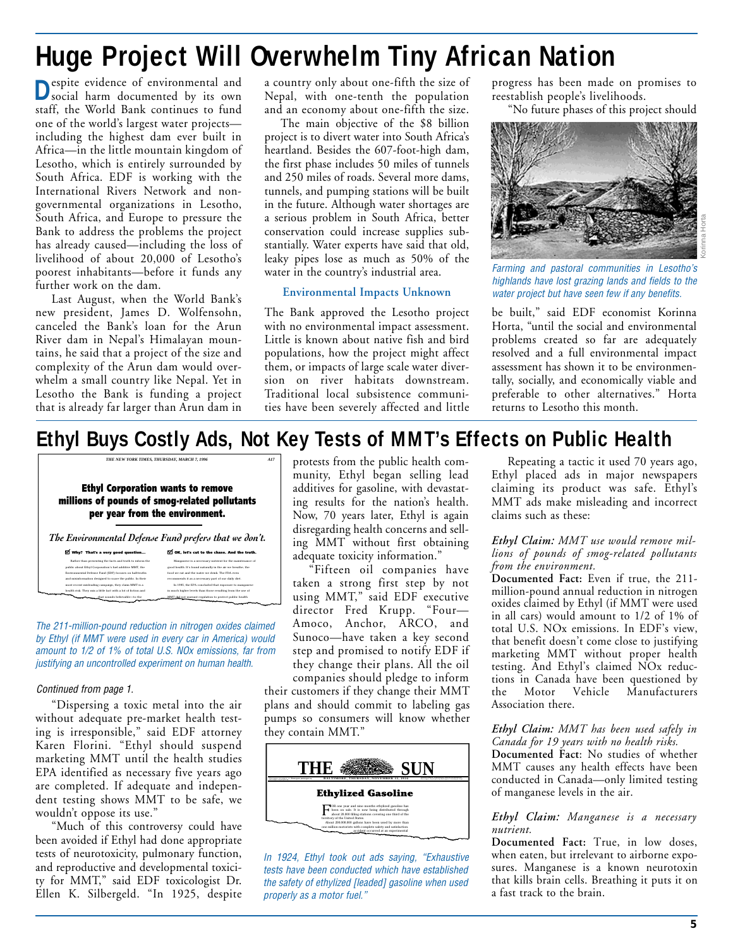# <span id="page-4-0"></span>**Huge Project Will Overwhelm Tiny African Nation**

**D**espite evidence of environmental and social harm documented by its own staff, the World Bank continues to fund one of the world's largest water projects including the highest dam ever built in Africa—in the little mountain kingdom of Lesotho, which is entirely surrounded by South Africa. EDF is working with the International Rivers Network and nongovernmental organizations in Lesotho, South Africa, and Europe to pressure the Bank to address the problems the project has already caused—including the loss of livelihood of about 20,000 of Lesotho's poorest inhabitants—before it funds any further work on the dam.

Last August, when the World Bank's new president, James D. Wolfensohn, canceled the Bank's loan for the Arun River dam in Nepal's Himalayan mountains, he said that a project of the size and complexity of the Arun dam would overwhelm a small country like Nepal. Yet in Lesotho the Bank is funding a project that is already far larger than Arun dam in

a country only about one-fifth the size of Nepal, with one-tenth the population and an economy about one-fifth the size.

The main objective of the \$8 billion project is to divert water into South Africa's heartland. Besides the 607-foot-high dam, the first phase includes 50 miles of tunnels and 250 miles of roads. Several more dams, tunnels, and pumping stations will be built in the future. Although water shortages are a serious problem in South Africa, better conservation could increase supplies substantially. Water experts have said that old, leaky pipes lose as much as 50% of the water in the country's industrial area.

### **Environmental Impacts Unknown**

The Bank approved the Lesotho project with no environmental impact assessment. Little is known about native fish and bird populations, how the project might affect them, or impacts of large scale water diversion on river habitats downstream. Traditional local subsistence communities have been severely affected and little progress has been made on promises to reestablish people's livelihoods.

"No future phases of this project should



Farming and pastoral communities in Lesotho's highlands have lost grazing lands and fields to the water project but have seen few if any benefits.

be built," said EDF economist Korinna Horta, "until the social and environmental problems created so far are adequately resolved and a full environmental impact assessment has shown it to be environmentally, socially, and economically viable and preferable to other alternatives." Horta returns to Lesotho this month.

### **Ethyl Buys Costly Ads, Not Key Tests of MMT's Effects on Public Health**

*A17*

**Ethyl Corporation wants to remove millions of pounds of smog-related pollutants per year from the environment.**

*THE NEW YORK TIMES, THURSDAY, MARCH 7, 1996*

*The Environmental Defense Fund prefers that we don't.* **Why? That's a very good question... OK, let's cut to the chase. And the truth.** Manganese is a necessary nutrient for the maintenance of good health. It's found naturally in the air we breath food we eat and the water we drisk. The FDA even<br>recommends it as a necessary part of our daily diet.<br>In 1985, the EPA concluded that exposure to manginese<br>in much higher levels than those resulting from the use of<br>MMT did Rather than presenting the facts and truth to inform the public about Ethyl Corporation's fuel additive MMT, the efense Fund (EDF) focuses on half-truth and misinformation designed to scare the public. In their most recent misleading campaign, they claim MMT is a health risk. They mix a little fact with a lot of fiction and

that sounds believable—to the

The 211-million-pound reduction in nitrogen oxides claimed by Ethyl (if MMT were used in every car in America) would amount to 1/2 of 1% of total U.S. NOx emissions, far from justifying an uncontrolled experiment on human health.

### Continued from page 1.

"Dispersing a toxic metal into the air without adequate pre-market health testing is irresponsible," said EDF attorney Karen Florini. "Ethyl should suspend marketing MMT until the health studies EPA identified as necessary five years ago are completed. If adequate and independent testing shows MMT to be safe, we wouldn't oppose its use."

"Much of this controversy could have been avoided if Ethyl had done appropriate tests of neurotoxicity, pulmonary function, and reproductive and developmental toxicity for MMT," said EDF toxicologist Dr. Ellen K. Silbergeld. "In 1925, despite protests from the public health community, Ethyl began selling lead additives for gasoline, with devastating results for the nation's health. Now, 70 years later, Ethyl is again disregarding health concerns and selling MMT without first obtaining adequate toxicity information."

"Fifteen oil companies have taken a strong first step by not using MMT," said EDF executive director Fred Krupp. "Four— Amoco, Anchor, ARCO, and Sunoco—have taken a key second step and promised to notify EDF if they change their plans. All the oil

companies should pledge to inform their customers if they change their MMT plans and should commit to labeling gas pumps so consumers will know whether they contain MMT."



In 1924, Ethyl took out ads saying, "Exhaustive tests have been conducted which have established the safety of ethylized [leaded] gasoline when used properly as a motor fuel."

Repeating a tactic it used 70 years ago, Ethyl placed ads in major newspapers claiming its product was safe. Ethyl's MMT ads make misleading and incorrect claims such as these:

#### *Ethyl Claim: MMT use would remove millions of pounds of smog-related pollutants from the environment.*

**Documented Fact:** Even if true, the 211 million-pound annual reduction in nitrogen oxides claimed by Ethyl (if MMT were used in all cars) would amount to 1/2 of 1% of total U.S. NOx emissions. In EDF's view, that benefit doesn't come close to justifying marketing MMT without proper health testing. And Ethyl's claimed NOx reductions in Canada have been questioned by the Motor Vehicle Manufacturers Association there.

#### *Ethyl Claim: MMT has been used safely in Canada for 19 years with no health risks.*

**Documented Fact**: No studies of whether MMT causes any health effects have been conducted in Canada—only limited testing of manganese levels in the air.

### *Ethyl Claim: Manganese is a necessary nutrient.*

**Documented Fact:** True, in low doses, when eaten, but irrelevant to airborne exposures. Manganese is a known neurotoxin that kills brain cells. Breathing it puts it on a fast track to the brain.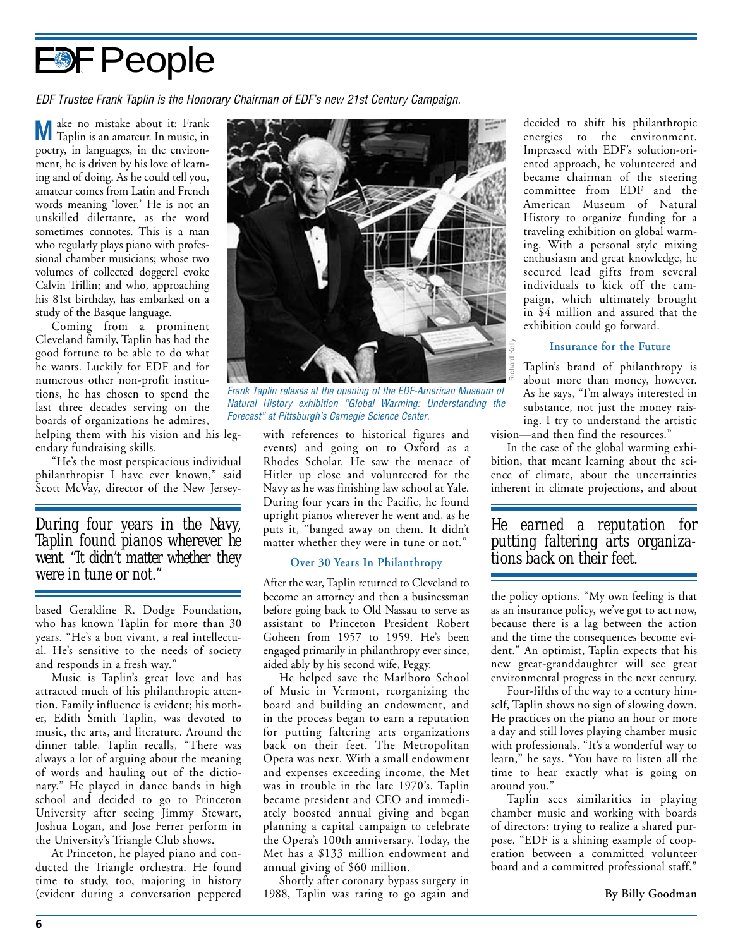# <span id="page-5-0"></span>**DF People**

EDF Trustee Frank Taplin is the Honorary Chairman of EDF's new 21st Century Campaign.

**M**ake no mistake about it: Frank Taplin is an amateur. In music, in poetry, in languages, in the environment, he is driven by his love of learning and of doing. As he could tell you, amateur comes from Latin and French words meaning 'lover.' He is not an unskilled dilettante, as the word sometimes connotes. This is a man who regularly plays piano with professional chamber musicians; whose two volumes of collected doggerel evoke Calvin Trillin; and who, approaching his 81st birthday, has embarked on a study of the Basque language.

Coming from a prominent Cleveland family, Taplin has had the good fortune to be able to do what he wants. Luckily for EDF and for numerous other non-profit institutions, he has chosen to spend the last three decades serving on the boards of organizations he admires, helping them with his vision and his leg-

endary fundraising skills. "He's the most perspicacious individual philanthropist I have ever known," said Scott McVay, director of the New Jersey-

### *During four years in the Navy, Taplin found pianos wherever he went. "It didn't matter whether they were in tune or not."*

based Geraldine R. Dodge Foundation, who has known Taplin for more than 30 years. "He's a bon vivant, a real intellectual. He's sensitive to the needs of society and responds in a fresh way."

Music is Taplin's great love and has attracted much of his philanthropic attention. Family influence is evident; his mother, Edith Smith Taplin, was devoted to music, the arts, and literature. Around the dinner table, Taplin recalls, "There was always a lot of arguing about the meaning of words and hauling out of the dictionary." He played in dance bands in high school and decided to go to Princeton University after seeing Jimmy Stewart, Joshua Logan, and Jose Ferrer perform in the University's Triangle Club shows.

At Princeton, he played piano and conducted the Triangle orchestra. He found time to study, too, majoring in history (evident during a conversation peppered



Frank Taplin relaxes at the opening of the EDF-American Museum of Natural History exhibition "Global Warming: Understanding the Forecast" at Pittsburgh's Carnegie Science Center.

with references to historical figures and events) and going on to Oxford as a Rhodes Scholar. He saw the menace of Hitler up close and volunteered for the Navy as he was finishing law school at Yale. During four years in the Pacific, he found upright pianos wherever he went and, as he puts it, "banged away on them. It didn't matter whether they were in tune or not."

### **Over 30 Years In Philanthropy**

After the war, Taplin returned to Cleveland to become an attorney and then a businessman before going back to Old Nassau to serve as assistant to Princeton President Robert Goheen from 1957 to 1959. He's been engaged primarily in philanthropy ever since, aided ably by his second wife, Peggy.

He helped save the Marlboro School of Music in Vermont, reorganizing the board and building an endowment, and in the process began to earn a reputation for putting faltering arts organizations back on their feet. The Metropolitan Opera was next. With a small endowment and expenses exceeding income, the Met was in trouble in the late 1970's. Taplin became president and CEO and immediately boosted annual giving and began planning a capital campaign to celebrate the Opera's 100th anniversary. Today, the Met has a \$133 million endowment and annual giving of \$60 million.

Shortly after coronary bypass surgery in 1988, Taplin was raring to go again and

decided to shift his philanthropic energies to the environment. Impressed with EDF's solution-oriented approach, he volunteered and became chairman of the steering committee from EDF and the American Museum of Natural History to organize funding for a traveling exhibition on global warming. With a personal style mixing enthusiasm and great knowledge, he secured lead gifts from several individuals to kick off the campaign, which ultimately brought in \$4 million and assured that the exhibition could go forward.

### **Insurance for the Future**

Taplin's brand of philanthropy is about more than money, however. As he says, "I'm always interested in substance, not just the money raising. I try to understand the artistic vision—and then find the resources." *tions be*  $\frac{1}{2}$  *i* **f**  $\frac{1}{2}$  *i f about more than moni As he says, "I'm always substance, not just the ing. I try to understand vision—and then find the rescondition, that meant learning at ence of climate* 

In the case of the global warming exhibition, that meant learning about the science of climate, about the uncertainties inherent in climate projections, and about

*He earned a reputation for putting faltering arts organiza-*

the policy options. "My own feeling is that as an insurance policy, we've got to act now, because there is a lag between the action and the time the consequences become evident." An optimist, Taplin expects that his new great-granddaughter will see great environmental progress in the next century.

Four-fifths of the way to a century himself, Taplin shows no sign of slowing down. He practices on the piano an hour or more a day and still loves playing chamber music with professionals. "It's a wonderful way to learn," he says. "You have to listen all the time to hear exactly what is going on around you."

Taplin sees similarities in playing chamber music and working with boards of directors: trying to realize a shared purpose. "EDF is a shining example of cooperation between a committed volunteer board and a committed professional staff."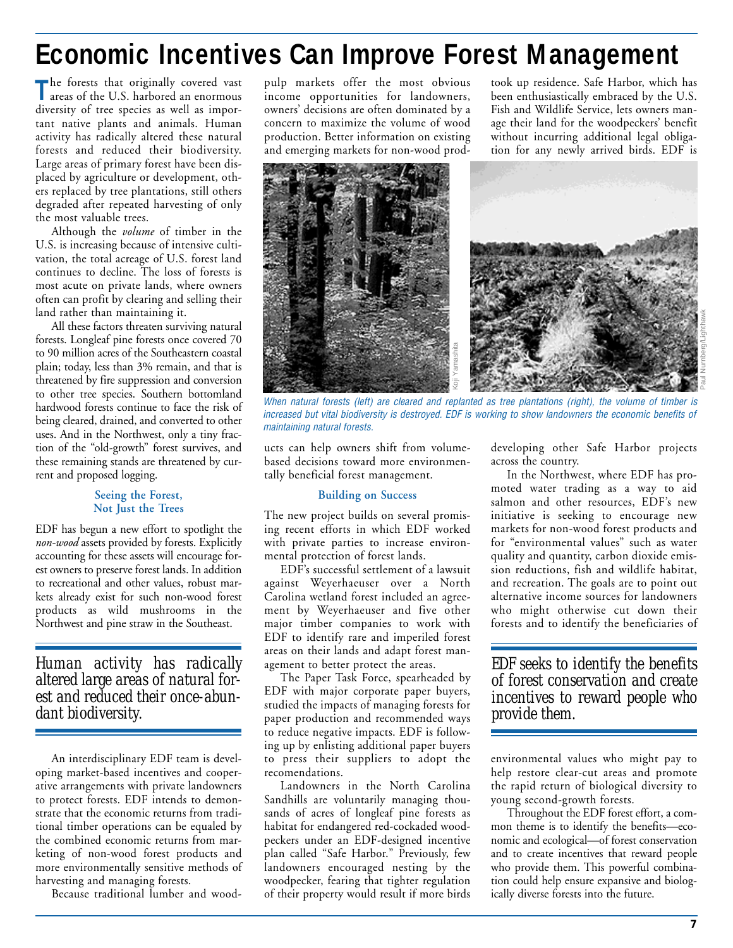## <span id="page-6-0"></span>**Economic Incentives Can Improve Forest Management**

**T**he forests that originally covered vast areas of the U.S. harbored an enormous diversity of tree species as well as important native plants and animals. Human activity has radically altered these natural forests and reduced their biodiversity. Large areas of primary forest have been displaced by agriculture or development, others replaced by tree plantations, still others degraded after repeated harvesting of only the most valuable trees.

Although the *volume* of timber in the U.S. is increasing because of intensive cultivation, the total acreage of U.S. forest land continues to decline. The loss of forests is most acute on private lands, where owners often can profit by clearing and selling their land rather than maintaining it.

All these factors threaten surviving natural forests. Longleaf pine forests once covered 70 to 90 million acres of the Southeastern coastal plain; today, less than 3% remain, and that is threatened by fire suppression and conversion to other tree species. Southern bottomland hardwood forests continue to face the risk of being cleared, drained, and converted to other uses. And in the Northwest, only a tiny fraction of the "old-growth" forest survives, and these remaining stands are threatened by current and proposed logging.

### **Seeing the Forest, Not Just the Trees**

EDF has begun a new effort to spotlight the *non-wood* assets provided by forests. Explicitly accounting for these assets will encourage forest owners to preserve forest lands. In addition to recreational and other values, robust markets already exist for such non-wood forest products as wild mushrooms in the Northwest and pine straw in the Southeast.

*Human activity has radically altered large areas of natural forest and reduced their once-abundant biodiversity.*

An interdisciplinary EDF team is developing market-based incentives and cooperative arrangements with private landowners to protect forests. EDF intends to demonstrate that the economic returns from traditional timber operations can be equaled by the combined economic returns from marketing of non-wood forest products and more environmentally sensitive methods of harvesting and managing forests.

Because traditional lumber and wood-

pulp markets offer the most obvious income opportunities for landowners, owners' decisions are often dominated by a concern to maximize the volume of wood production. Better information on existing and emerging markets for non-wood prodtook up residence. Safe Harbor, which has been enthusiastically embraced by the U.S. Fish and Wildlife Service, lets owners manage their land for the woodpeckers' benefit without incurring additional legal obligation for any newly arrived birds. EDF is



When natural forests (left) are cleared and replanted as tree plantations (right), the volume of timber is increased but vital biodiversity is destroyed. EDF is working to show landowners the economic benefits of maintaining natural forests.

ucts can help owners shift from volumebased decisions toward more environmentally beneficial forest management.

### **Building on Success**

The new project builds on several promising recent efforts in which EDF worked with private parties to increase environmental protection of forest lands.

EDF's successful settlement of a lawsuit against Weyerhaeuser over a North Carolina wetland forest included an agreement by Weyerhaeuser and five other major timber companies to work with EDF to identify rare and imperiled forest areas on their lands and adapt forest management to better protect the areas.

The Paper Task Force, spearheaded by EDF with major corporate paper buyers, studied the impacts of managing forests for paper production and recommended ways to reduce negative impacts. EDF is following up by enlisting additional paper buyers to press their suppliers to adopt the recomendations.

Landowners in the North Carolina Sandhills are voluntarily managing thousands of acres of longleaf pine forests as habitat for endangered red-cockaded woodpeckers under an EDF-designed incentive plan called "Safe Harbor." Previously, few landowners encouraged nesting by the woodpecker, fearing that tighter regulation of their property would result if more birds

developing other Safe Harbor projects across the country.

In the Northwest, where EDF has promoted water trading as a way to aid salmon and other resources, EDF's new initiative is seeking to encourage new markets for non-wood forest products and for "environmental values" such as water quality and quantity, carbon dioxide emission reductions, fish and wildlife habitat, and recreation. The goals are to point out alternative income sources for landowners who might otherwise cut down their forests and to identify the beneficiaries of

*EDF seeks to identify the benefits of forest conservation and create incentives to reward people who provide them.*

environmental values who might pay to help restore clear-cut areas and promote the rapid return of biological diversity to young second-growth forests.

Throughout the EDF forest effort, a common theme is to identify the benefits—economic and ecological—of forest conservation and to create incentives that reward people who provide them. This powerful combination could help ensure expansive and biologically diverse forests into the future.